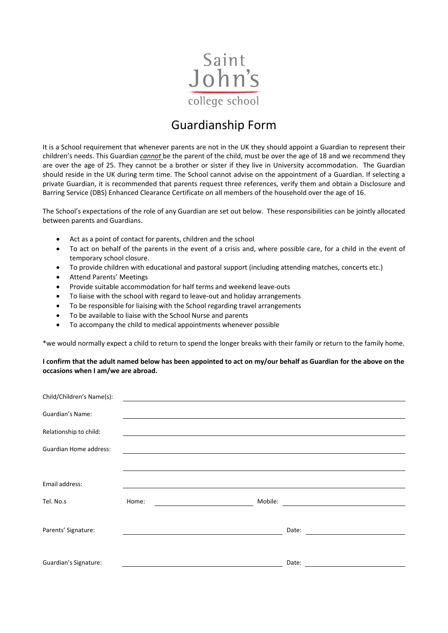

## Guardianship Form

It is a School requirement that whenever parents are not in the UK they should appoint a Guardian to represent their children's needs. This Guardian *cannot* be the parent of the child, must be over the age of 18 and we recommend they are over the age of 25. They cannot be a brother or sister if they live in University accommodation. The Guardian should reside in the UK during term time. The School cannot advise on the appointment of a Guardian. If selecting a private Guardian, it is recommended that parents request three references, verify them and obtain a Disclosure and Barring Service (DBS) Enhanced Clearance Certificate on all members of the household over the age of 16.

The School's expectations of the role of any Guardian are set out below. These responsibilities can be jointly allocated between parents and Guardians.

- Act as a point of contact for parents, children and the school
- To act on behalf of the parents in the event of a crisis and, where possible care, for a child in the event of temporary school closure.
- To provide children with educational and pastoral support (including attending matches, concerts etc.)
- Attend Parents' Meetings
- Provide suitable accommodation for half terms and weekend leave-outs
- To liaise with the school with regard to leave-out and holiday arrangements
- To be responsible for liaising with the School regarding travel arrangements
- To be available to liaise with the School Nurse and parents
- To accompany the child to medical appointments whenever possible

\*we would normally expect a child to return to spend the longer breaks with their family or return to the family home.

**I confirm that the adult named below has been appointed to act on my/our behalf as Guardian for the above on the occasions when I am/we are abroad.**

| Child/Children's Name(s):     |       |                                         |                                                           |                                                                    |
|-------------------------------|-------|-----------------------------------------|-----------------------------------------------------------|--------------------------------------------------------------------|
| Guardian's Name:              |       |                                         |                                                           |                                                                    |
| Relationship to child:        |       |                                         | <u> 1989 - John Stoff, amerikansk politiker (d. 1989)</u> |                                                                    |
| <b>Guardian Home address:</b> |       |                                         |                                                           |                                                                    |
|                               |       |                                         |                                                           |                                                                    |
| Email address:                |       |                                         |                                                           |                                                                    |
| Tel. No.s                     | Home: | <u> 1980 - Johann Barbara, martin a</u> | Mobile:                                                   | <u> 1989 - Andrea Britain, politik e</u> ta eta p                  |
|                               |       |                                         |                                                           |                                                                    |
| Parents' Signature:           |       |                                         |                                                           | Date:<br><u> 1980 - Andrea Station Books, amerikansk politik (</u> |
|                               |       |                                         |                                                           |                                                                    |
| Guardian's Signature:         |       |                                         |                                                           | Date:                                                              |